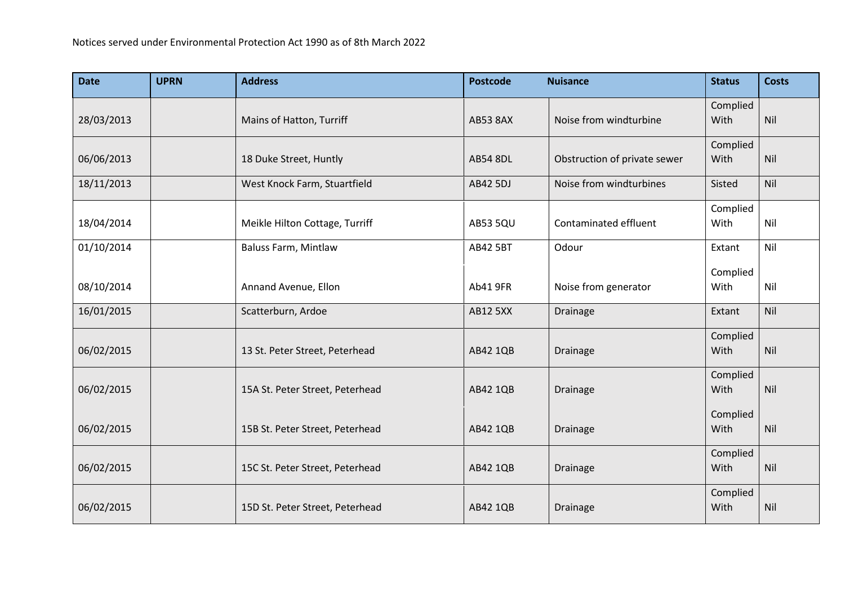| <b>Date</b> | <b>UPRN</b> | <b>Address</b>                  | <b>Postcode</b> | <b>Nuisance</b>              | <b>Status</b>    | <b>Costs</b> |
|-------------|-------------|---------------------------------|-----------------|------------------------------|------------------|--------------|
| 28/03/2013  |             | Mains of Hatton, Turriff        | <b>AB53 8AX</b> | Noise from windturbine       | Complied<br>With | Nil          |
| 06/06/2013  |             | 18 Duke Street, Huntly          | <b>AB54 8DL</b> | Obstruction of private sewer | Complied<br>With | Nil          |
| 18/11/2013  |             | West Knock Farm, Stuartfield    | AB42 5DJ        | Noise from windturbines      | Sisted           | Nil          |
| 18/04/2014  |             | Meikle Hilton Cottage, Turriff  | <b>AB53 5QU</b> | Contaminated effluent        | Complied<br>With | Nil          |
| 01/10/2014  |             | <b>Baluss Farm, Mintlaw</b>     | <b>AB42 5BT</b> | Odour                        | Extant           | Nil          |
| 08/10/2014  |             | Annand Avenue, Ellon            | Ab41 9FR        | Noise from generator         | Complied<br>With | Nil          |
| 16/01/2015  |             | Scatterburn, Ardoe              | <b>AB12 5XX</b> | Drainage                     | Extant           | Nil          |
| 06/02/2015  |             | 13 St. Peter Street, Peterhead  | AB42 1QB        | Drainage                     | Complied<br>With | Nil          |
| 06/02/2015  |             | 15A St. Peter Street, Peterhead | AB42 1QB        | Drainage                     | Complied<br>With | Nil          |
| 06/02/2015  |             | 15B St. Peter Street, Peterhead | AB42 1QB        | Drainage                     | Complied<br>With | Nil          |
| 06/02/2015  |             | 15C St. Peter Street, Peterhead | AB42 1QB        | Drainage                     | Complied<br>With | Nil          |
| 06/02/2015  |             | 15D St. Peter Street, Peterhead | AB42 1QB        | <b>Drainage</b>              | Complied<br>With | Nil          |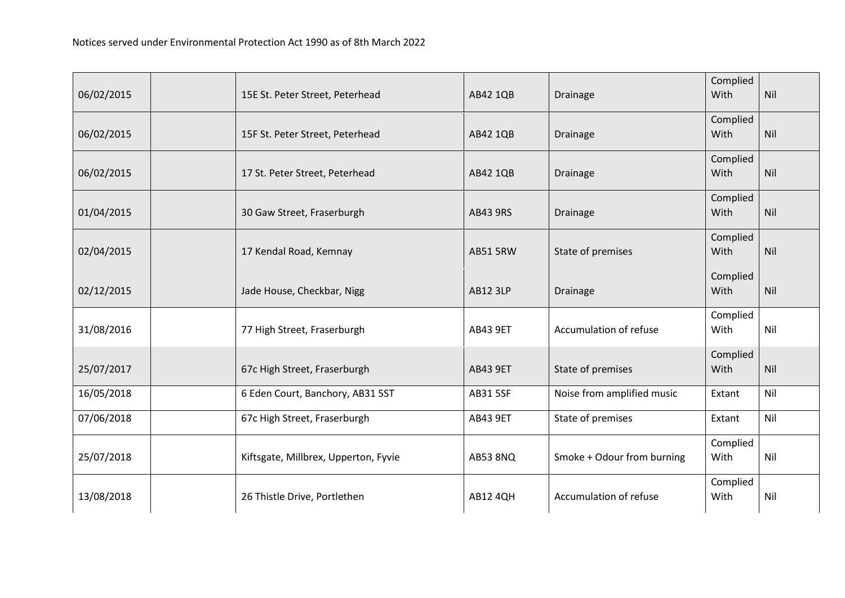| 06/02/2015 | 15E St. Peter Street, Peterhead      | AB42 1QB        | Drainage                   | Complied<br>With | Nil |
|------------|--------------------------------------|-----------------|----------------------------|------------------|-----|
| 06/02/2015 | 15F St. Peter Street, Peterhead      | AB42 1QB        | Drainage                   | Complied<br>With | Nil |
| 06/02/2015 | 17 St. Peter Street, Peterhead       | AB42 1QB        | Drainage                   | Complied<br>With | Nil |
| 01/04/2015 | 30 Gaw Street, Fraserburgh           | <b>AB43 9RS</b> | Drainage                   | Complied<br>With | Nil |
| 02/04/2015 | 17 Kendal Road, Kemnay               | <b>AB51 5RW</b> | State of premises          | Complied<br>With | Nil |
| 02/12/2015 | Jade House, Checkbar, Nigg           | <b>AB12 3LP</b> | Drainage                   | Complied<br>With | Nil |
| 31/08/2016 | 77 High Street, Fraserburgh          | <b>AB43 9ET</b> | Accumulation of refuse     | Complied<br>With | Nil |
| 25/07/2017 | 67c High Street, Fraserburgh         | <b>AB43 9ET</b> | State of premises          | Complied<br>With | Nil |
| 16/05/2018 | 6 Eden Court, Banchory, AB31 5ST     | <b>AB31 5SF</b> | Noise from amplified music | Extant           | Nil |
| 07/06/2018 | 67c High Street, Fraserburgh         | <b>AB43 9ET</b> | State of premises          | Extant           | Nil |
| 25/07/2018 | Kiftsgate, Millbrex, Upperton, Fyvie | <b>AB53 8NQ</b> | Smoke + Odour from burning | Complied<br>With | Nil |
| 13/08/2018 | 26 Thistle Drive, Portlethen         | <b>AB12 4QH</b> | Accumulation of refuse     | Complied<br>With | Nil |